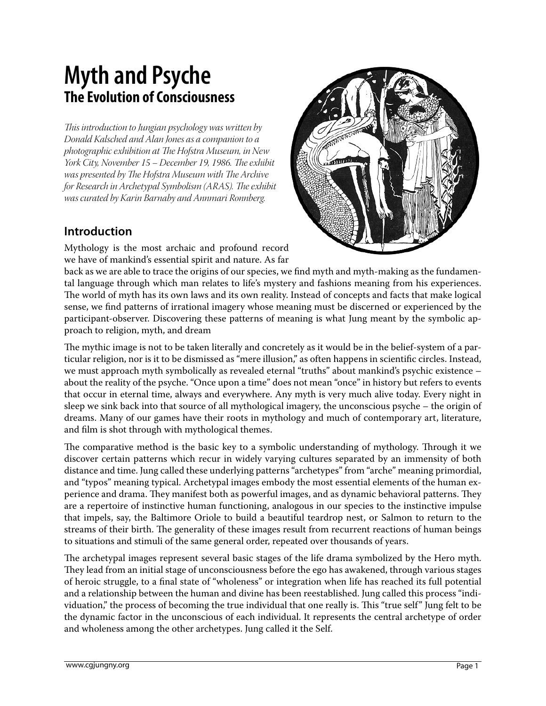# **Myth and Psyche The Evolution of Consciousness**

*This introduction to Jungian psychology was written by Donald Kalsched and Alan Jones as a companion to a photographic exhibition at The Hofstra Museum, in New York City, November 15 – December 19, 1986. The exhibit was presented by The Hofstra Museum with The Archive for Research in Archetypal Symbolism (ARAS). The exhibit was curated by Karin Barnaby and Annmari Ronnberg.*

## **Introduction**

Mythology is the most archaic and profound record we have of mankind's essential spirit and nature. As far

proach to religion, myth, and dream

back as we are able to trace the origins of our species, we find myth and myth-making as the fundamental language through which man relates to life's mystery and fashions meaning from his experiences. The world of myth has its own laws and its own reality. Instead of concepts and facts that make logical sense, we find patterns of irrational imagery whose meaning must be discerned or experienced by the participant-observer. Discovering these patterns of meaning is what Jung meant by the symbolic ap-

The mythic image is not to be taken literally and concretely as it would be in the belief-system of a particular religion, nor is it to be dismissed as "mere illusion," as often happens in scientific circles. Instead, we must approach myth symbolically as revealed eternal "truths" about mankind's psychic existence – about the reality of the psyche. "Once upon a time" does not mean "once" in history but refers to events that occur in eternal time, always and everywhere. Any myth is very much alive today. Every night in sleep we sink back into that source of all mythological imagery, the unconscious psyche – the origin of dreams. Many of our games have their roots in mythology and much of contemporary art, literature, and film is shot through with mythological themes.

The comparative method is the basic key to a symbolic understanding of mythology. Through it we discover certain patterns which recur in widely varying cultures separated by an immensity of both distance and time. Jung called these underlying patterns "archetypes" from "arche" meaning primordial, and "typos" meaning typical. Archetypal images embody the most essential elements of the human experience and drama. They manifest both as powerful images, and as dynamic behavioral patterns. They are a repertoire of instinctive human functioning, analogous in our species to the instinctive impulse that impels, say, the Baltimore Oriole to build a beautiful teardrop nest, or Salmon to return to the streams of their birth. The generality of these images result from recurrent reactions of human beings to situations and stimuli of the same general order, repeated over thousands of years.

The archetypal images represent several basic stages of the life drama symbolized by the Hero myth. They lead from an initial stage of unconsciousness before the ego has awakened, through various stages of heroic struggle, to a final state of "wholeness" or integration when life has reached its full potential and a relationship between the human and divine has been reestablished. Jung called this process "individuation," the process of becoming the true individual that one really is. This "true self" Jung felt to be the dynamic factor in the unconscious of each individual. It represents the central archetype of order and wholeness among the other archetypes. Jung called it the Self.

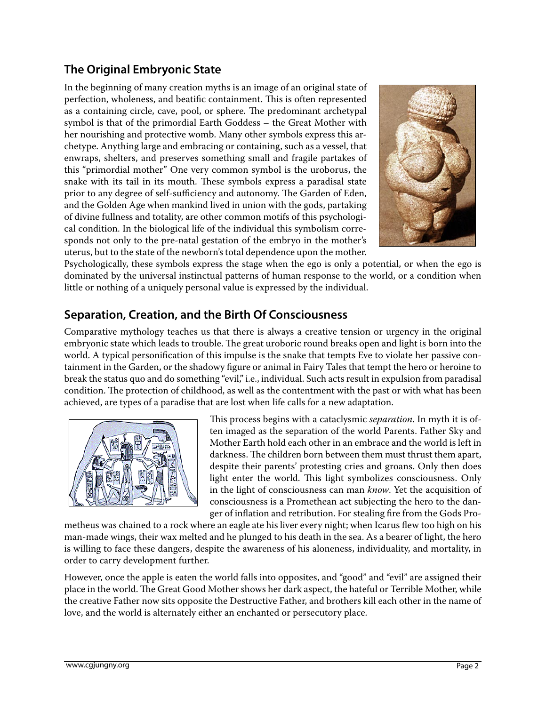## **The Original Embryonic State**

In the beginning of many creation myths is an image of an original state of perfection, wholeness, and beatific containment. This is often represented as a containing circle, cave, pool, or sphere. The predominant archetypal symbol is that of the primordial Earth Goddess – the Great Mother with her nourishing and protective womb. Many other symbols express this archetype. Anything large and embracing or containing, such as a vessel, that enwraps, shelters, and preserves something small and fragile partakes of this "primordial mother" One very common symbol is the uroborus, the snake with its tail in its mouth. These symbols express a paradisal state prior to any degree of self-sufficiency and autonomy. The Garden of Eden, and the Golden Age when mankind lived in union with the gods, partaking of divine fullness and totality, are other common motifs of this psychological condition. In the biological life of the individual this symbolism corresponds not only to the pre-natal gestation of the embryo in the mother's uterus, but to the state of the newborn's total dependence upon the mother.



Psychologically, these symbols express the stage when the ego is only a potential, or when the ego is dominated by the universal instinctual patterns of human response to the world, or a condition when little or nothing of a uniquely personal value is expressed by the individual.

#### **Separation, Creation, and the Birth Of Consciousness**

Comparative mythology teaches us that there is always a creative tension or urgency in the original embryonic state which leads to trouble. The great uroboric round breaks open and light is born into the world. A typical personification of this impulse is the snake that tempts Eve to violate her passive containment in the Garden, or the shadowy figure or animal in Fairy Tales that tempt the hero or heroine to break the status quo and do something "evil," i.e., individual. Such acts result in expulsion from paradisal condition. The protection of childhood, as well as the contentment with the past or with what has been achieved, are types of a paradise that are lost when life calls for a new adaptation.



This process begins with a cataclysmic *separation*. In myth it is often imaged as the separation of the world Parents. Father Sky and Mother Earth hold each other in an embrace and the world is left in darkness. The children born between them must thrust them apart, despite their parents' protesting cries and groans. Only then does light enter the world. This light symbolizes consciousness. Only in the light of consciousness can man *know*. Yet the acquisition of consciousness is a Promethean act subjecting the hero to the danger of inflation and retribution. For stealing fire from the Gods Pro-

metheus was chained to a rock where an eagle ate his liver every night; when Icarus flew too high on his man-made wings, their wax melted and he plunged to his death in the sea. As a bearer of light, the hero is willing to face these dangers, despite the awareness of his aloneness, individuality, and mortality, in order to carry development further.

However, once the apple is eaten the world falls into opposites, and "good" and "evil" are assigned their place in the world. The Great Good Mother shows her dark aspect, the hateful or Terrible Mother, while the creative Father now sits opposite the Destructive Father, and brothers kill each other in the name of love, and the world is alternately either an enchanted or persecutory place.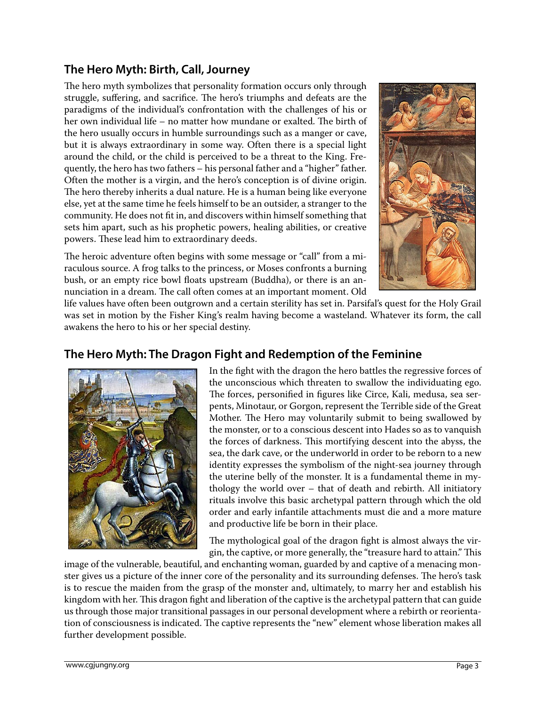## **The Hero Myth: Birth, Call, Journey**

The hero myth symbolizes that personality formation occurs only through struggle, suffering, and sacrifice. The hero's triumphs and defeats are the paradigms of the individual's confrontation with the challenges of his or her own individual life – no matter how mundane or exalted. The birth of the hero usually occurs in humble surroundings such as a manger or cave, but it is always extraordinary in some way. Often there is a special light around the child, or the child is perceived to be a threat to the King. Frequently, the hero has two fathers – his personal father and a "higher" father. Often the mother is a virgin, and the hero's conception is of divine origin. The hero thereby inherits a dual nature. He is a human being like everyone else, yet at the same time he feels himself to be an outsider, a stranger to the community. He does not fit in, and discovers within himself something that sets him apart, such as his prophetic powers, healing abilities, or creative powers. These lead him to extraordinary deeds.

The heroic adventure often begins with some message or "call" from a miraculous source. A frog talks to the princess, or Moses confronts a burning bush, or an empty rice bowl floats upstream (Buddha), or there is an annunciation in a dream. The call often comes at an important moment. Old



life values have often been outgrown and a certain sterility has set in. Parsifal's quest for the Holy Grail was set in motion by the Fisher King's realm having become a wasteland. Whatever its form, the call awakens the hero to his or her special destiny.

### **The Hero Myth: The Dragon Fight and Redemption of the Feminine**



In the fight with the dragon the hero battles the regressive forces of the unconscious which threaten to swallow the individuating ego. The forces, personified in figures like Circe, Kali, medusa, sea serpents, Minotaur, or Gorgon, represent the Terrible side of the Great Mother. The Hero may voluntarily submit to being swallowed by the monster, or to a conscious descent into Hades so as to vanquish the forces of darkness. This mortifying descent into the abyss, the sea, the dark cave, or the underworld in order to be reborn to a new identity expresses the symbolism of the night-sea journey through the uterine belly of the monster. It is a fundamental theme in mythology the world over – that of death and rebirth. All initiatory rituals involve this basic archetypal pattern through which the old order and early infantile attachments must die and a more mature and productive life be born in their place.

The mythological goal of the dragon fight is almost always the virgin, the captive, or more generally, the "treasure hard to attain." This

image of the vulnerable, beautiful, and enchanting woman, guarded by and captive of a menacing monster gives us a picture of the inner core of the personality and its surrounding defenses. The hero's task is to rescue the maiden from the grasp of the monster and, ultimately, to marry her and establish his kingdom with her. This dragon fight and liberation of the captive is the archetypal pattern that can guide us through those major transitional passages in our personal development where a rebirth or reorientation of consciousness is indicated. The captive represents the "new" element whose liberation makes all further development possible.